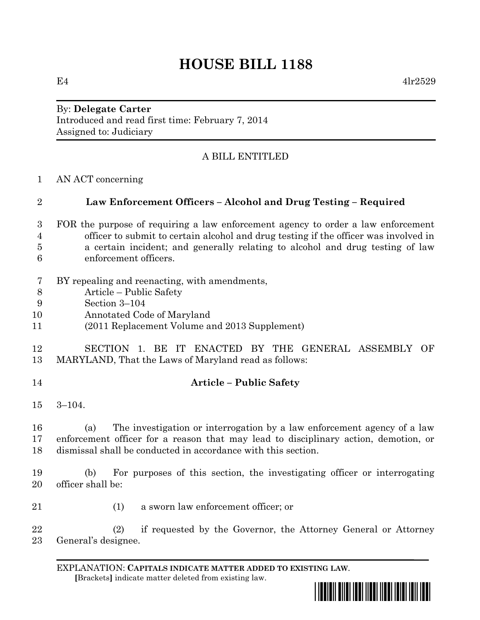$E4$  4lr2529

By: **Delegate Carter** Introduced and read first time: February 7, 2014 Assigned to: Judiciary

# A BILL ENTITLED

AN ACT concerning

# **Law Enforcement Officers – Alcohol and Drug Testing – Required**

- FOR the purpose of requiring a law enforcement agency to order a law enforcement officer to submit to certain alcohol and drug testing if the officer was involved in a certain incident; and generally relating to alcohol and drug testing of law enforcement officers.
- BY repealing and reenacting, with amendments,
- Article Public Safety
- Section 3–104
- Annotated Code of Maryland
- (2011 Replacement Volume and 2013 Supplement)

# SECTION 1. BE IT ENACTED BY THE GENERAL ASSEMBLY OF MARYLAND, That the Laws of Maryland read as follows:

- 
- **Article – Public Safety**
- 3–104.

 (a) The investigation or interrogation by a law enforcement agency of a law enforcement officer for a reason that may lead to disciplinary action, demotion, or dismissal shall be conducted in accordance with this section.

 (b) For purposes of this section, the investigating officer or interrogating officer shall be:

(1) a sworn law enforcement officer; or

 (2) if requested by the Governor, the Attorney General or Attorney General's designee.

EXPLANATION: **CAPITALS INDICATE MATTER ADDED TO EXISTING LAW**.  **[**Brackets**]** indicate matter deleted from existing law.

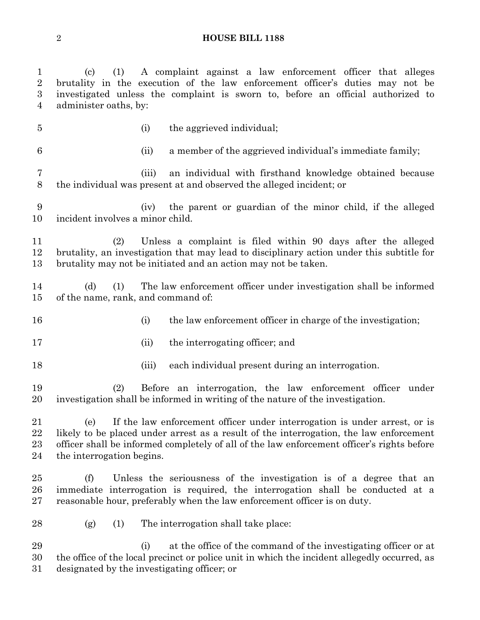(c) (1) A complaint against a law enforcement officer that alleges brutality in the execution of the law enforcement officer's duties may not be investigated unless the complaint is sworn to, before an official authorized to administer oaths, by:

- (i) the aggrieved individual; (ii) a member of the aggrieved individual's immediate family; (iii) an individual with firsthand knowledge obtained because the individual was present at and observed the alleged incident; or
- (iv) the parent or guardian of the minor child, if the alleged incident involves a minor child.
- (2) Unless a complaint is filed within 90 days after the alleged brutality, an investigation that may lead to disciplinary action under this subtitle for brutality may not be initiated and an action may not be taken.
- (d) (1) The law enforcement officer under investigation shall be informed of the name, rank, and command of:
- 16 (i) the law enforcement officer in charge of the investigation;
- 17 (ii) the interrogating officer; and
- 
- 18 (iii) each individual present during an interrogation.

 (2) Before an interrogation, the law enforcement officer under investigation shall be informed in writing of the nature of the investigation.

 (e) If the law enforcement officer under interrogation is under arrest, or is likely to be placed under arrest as a result of the interrogation, the law enforcement officer shall be informed completely of all of the law enforcement officer's rights before the interrogation begins.

 (f) Unless the seriousness of the investigation is of a degree that an immediate interrogation is required, the interrogation shall be conducted at a reasonable hour, preferably when the law enforcement officer is on duty.

(g) (1) The interrogation shall take place:

 (i) at the office of the command of the investigating officer or at the office of the local precinct or police unit in which the incident allegedly occurred, as designated by the investigating officer; or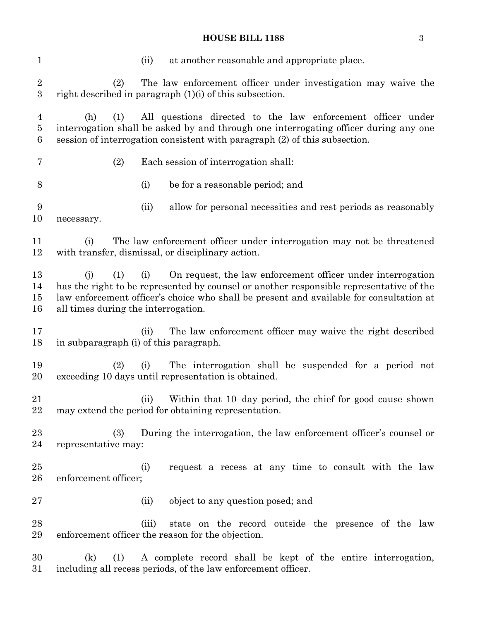## **HOUSE BILL 1188** 3

| $\mathbf{1}$             | at another reasonable and appropriate place.<br>(ii)                                                                                                                                                                                                                                                          |  |  |  |  |  |
|--------------------------|---------------------------------------------------------------------------------------------------------------------------------------------------------------------------------------------------------------------------------------------------------------------------------------------------------------|--|--|--|--|--|
| $\overline{2}$<br>3      | The law enforcement officer under investigation may waive the<br>(2)<br>right described in paragraph $(1)(i)$ of this subsection.                                                                                                                                                                             |  |  |  |  |  |
| 4<br>$\overline{5}$<br>6 | All questions directed to the law enforcement officer under<br>(1)<br>(h)<br>interrogation shall be asked by and through one interrogating officer during any one<br>session of interrogation consistent with paragraph (2) of this subsection.                                                               |  |  |  |  |  |
| 7                        | (2)<br>Each session of interrogation shall:                                                                                                                                                                                                                                                                   |  |  |  |  |  |
| 8                        | (i)<br>be for a reasonable period; and                                                                                                                                                                                                                                                                        |  |  |  |  |  |
| 9<br>10                  | allow for personal necessities and rest periods as reasonably<br>(ii)<br>necessary.                                                                                                                                                                                                                           |  |  |  |  |  |
| 11<br>12                 | The law enforcement officer under interrogation may not be threatened<br>(i)<br>with transfer, dismissal, or disciplinary action.                                                                                                                                                                             |  |  |  |  |  |
| 13<br>14<br>15<br>16     | On request, the law enforcement officer under interrogation<br>(1)<br>(i)<br>(i)<br>has the right to be represented by counsel or another responsible representative of the<br>law enforcement officer's choice who shall be present and available for consultation at<br>all times during the interrogation. |  |  |  |  |  |
| 17<br>18                 | The law enforcement officer may waive the right described<br>(ii)<br>in subparagraph (i) of this paragraph.                                                                                                                                                                                                   |  |  |  |  |  |
| 19<br>20                 | The interrogation shall be suspended for a period not<br>(2)<br>(i)<br>exceeding 10 days until representation is obtained.                                                                                                                                                                                    |  |  |  |  |  |
| 21<br>22                 | Within that 10-day period, the chief for good cause shown<br>(ii)<br>may extend the period for obtaining representation.                                                                                                                                                                                      |  |  |  |  |  |
| 23<br>24                 | (3)<br>During the interrogation, the law enforcement officer's counsel or<br>representative may:                                                                                                                                                                                                              |  |  |  |  |  |
| 25<br>26                 | request a recess at any time to consult with the law<br>(i)<br>enforcement officer;                                                                                                                                                                                                                           |  |  |  |  |  |
| 27                       | (ii)<br>object to any question posed; and                                                                                                                                                                                                                                                                     |  |  |  |  |  |
| 28<br>29                 | state on the record outside the presence of the law<br>(iii)<br>enforcement officer the reason for the objection.                                                                                                                                                                                             |  |  |  |  |  |
| 30<br>31                 | A complete record shall be kept of the entire interrogation,<br>(k)<br>(1)<br>including all recess periods, of the law enforcement officer.                                                                                                                                                                   |  |  |  |  |  |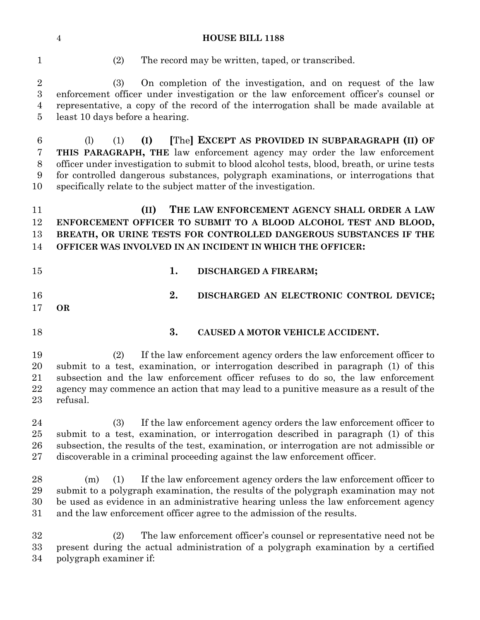|  |  | $\overline{\phantom{a}}$ |
|--|--|--------------------------|
|  |  |                          |
|  |  |                          |
|  |  |                          |
|  |  |                          |

(2) The record may be written, taped, or transcribed.

 (3) On completion of the investigation, and on request of the law enforcement officer under investigation or the law enforcement officer's counsel or representative, a copy of the record of the interrogation shall be made available at least 10 days before a hearing.

 (l) (1) **(I) [**The**] EXCEPT AS PROVIDED IN SUBPARAGRAPH (II) OF THIS PARAGRAPH, THE** law enforcement agency may order the law enforcement officer under investigation to submit to blood alcohol tests, blood, breath, or urine tests for controlled dangerous substances, polygraph examinations, or interrogations that specifically relate to the subject matter of the investigation.

 **(II) THE LAW ENFORCEMENT AGENCY SHALL ORDER A LAW ENFORCEMENT OFFICER TO SUBMIT TO A BLOOD ALCOHOL TEST AND BLOOD, BREATH, OR URINE TESTS FOR CONTROLLED DANGEROUS SUBSTANCES IF THE OFFICER WAS INVOLVED IN AN INCIDENT IN WHICH THE OFFICER:**

| 15          |    | 1. DISCHARGED A FIREARM;                 |
|-------------|----|------------------------------------------|
| 16<br>17 OR | 2. | DISCHARGED AN ELECTRONIC CONTROL DEVICE; |

## **3. CAUSED A MOTOR VEHICLE ACCIDENT.**

 (2) If the law enforcement agency orders the law enforcement officer to submit to a test, examination, or interrogation described in paragraph (1) of this subsection and the law enforcement officer refuses to do so, the law enforcement agency may commence an action that may lead to a punitive measure as a result of the refusal.

 (3) If the law enforcement agency orders the law enforcement officer to submit to a test, examination, or interrogation described in paragraph (1) of this subsection, the results of the test, examination, or interrogation are not admissible or discoverable in a criminal proceeding against the law enforcement officer.

 (m) (1) If the law enforcement agency orders the law enforcement officer to submit to a polygraph examination, the results of the polygraph examination may not be used as evidence in an administrative hearing unless the law enforcement agency and the law enforcement officer agree to the admission of the results.

 (2) The law enforcement officer's counsel or representative need not be present during the actual administration of a polygraph examination by a certified polygraph examiner if: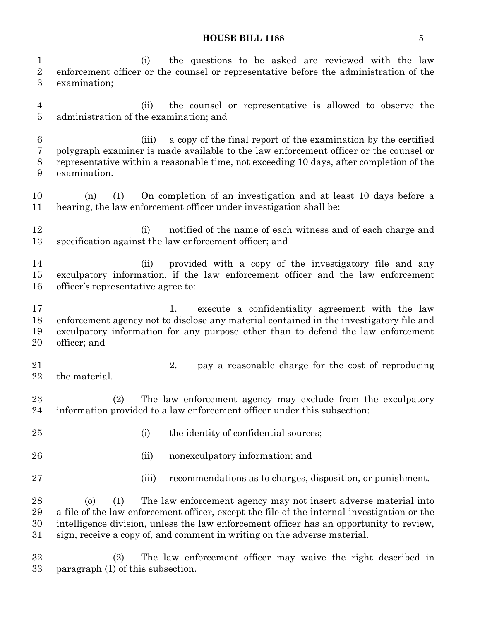#### **HOUSE BILL 1188** 5

 (i) the questions to be asked are reviewed with the law enforcement officer or the counsel or representative before the administration of the examination;

 (ii) the counsel or representative is allowed to observe the administration of the examination; and

 (iii) a copy of the final report of the examination by the certified polygraph examiner is made available to the law enforcement officer or the counsel or representative within a reasonable time, not exceeding 10 days, after completion of the examination.

 (n) (1) On completion of an investigation and at least 10 days before a hearing, the law enforcement officer under investigation shall be:

12 (i) notified of the name of each witness and of each charge and specification against the law enforcement officer; and

 (ii) provided with a copy of the investigatory file and any exculpatory information, if the law enforcement officer and the law enforcement officer's representative agree to:

17 1. execute a confidentiality agreement with the law enforcement agency not to disclose any material contained in the investigatory file and exculpatory information for any purpose other than to defend the law enforcement officer; and

- the material.
- 2. pay a reasonable charge for the cost of reproducing

 (2) The law enforcement agency may exclude from the exculpatory information provided to a law enforcement officer under this subsection:

- 25 (i) the identity of confidential sources;
- (ii) nonexculpatory information; and
- 
- (iii) recommendations as to charges, disposition, or punishment.

 (o) (1) The law enforcement agency may not insert adverse material into a file of the law enforcement officer, except the file of the internal investigation or the intelligence division, unless the law enforcement officer has an opportunity to review, sign, receive a copy of, and comment in writing on the adverse material.

 (2) The law enforcement officer may waive the right described in paragraph (1) of this subsection.